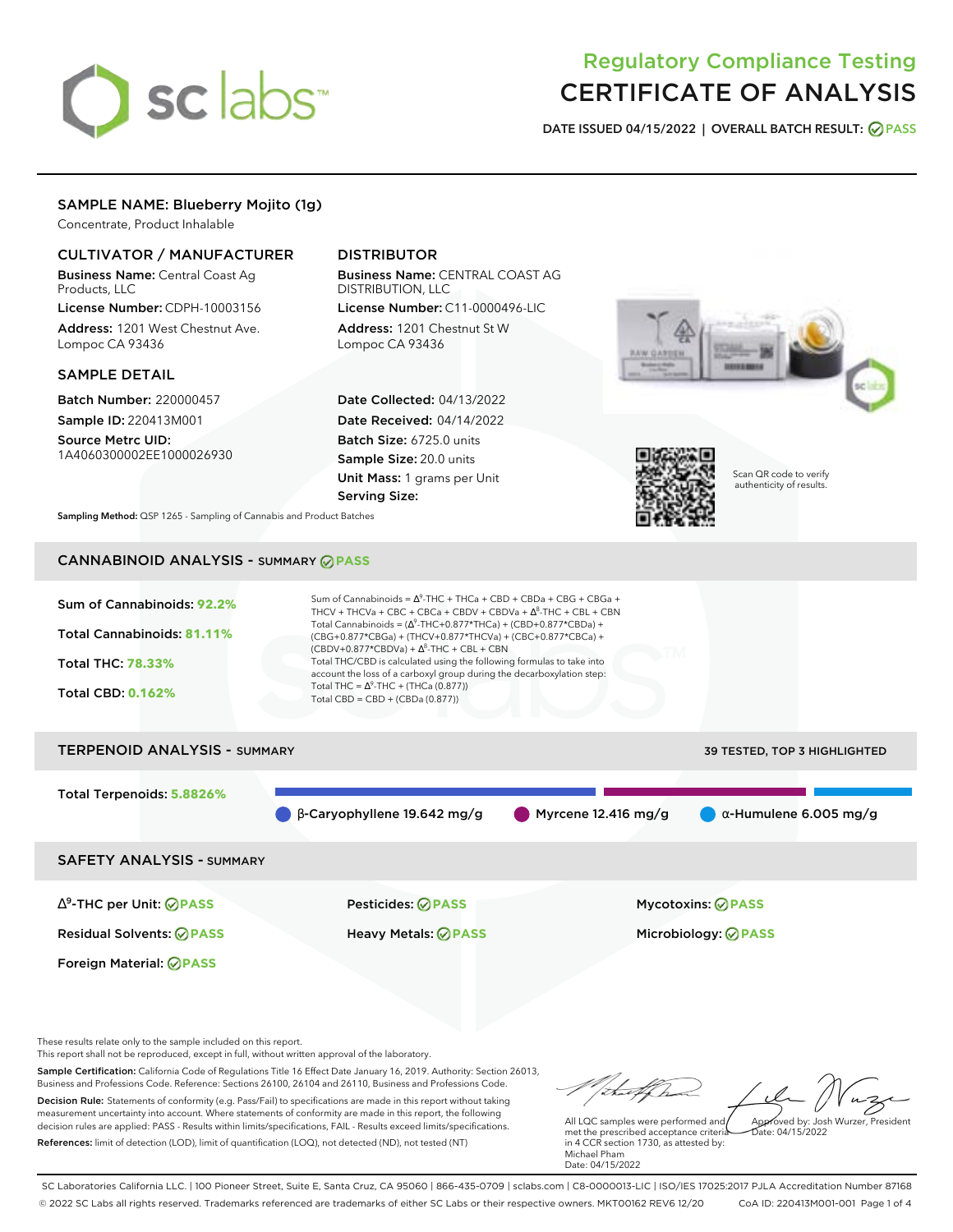# sclabs<sup>\*</sup>

# Regulatory Compliance Testing CERTIFICATE OF ANALYSIS

**DATE ISSUED 04/15/2022 | OVERALL BATCH RESULT: PASS**

#### SAMPLE NAME: Blueberry Mojito (1g)

Concentrate, Product Inhalable

### CULTIVATOR / MANUFACTURER

Business Name: Central Coast Ag Products, LLC

License Number: CDPH-10003156 Address: 1201 West Chestnut Ave. Lompoc CA 93436

#### SAMPLE DETAIL

Batch Number: 220000457 Sample ID: 220413M001

Source Metrc UID: 1A4060300002EE1000026930

## DISTRIBUTOR

Business Name: CENTRAL COAST AG DISTRIBUTION, LLC License Number: C11-0000496-LIC

Address: 1201 Chestnut St W Lompoc CA 93436

Date Collected: 04/13/2022 Date Received: 04/14/2022 Batch Size: 6725.0 units Sample Size: 20.0 units Unit Mass: 1 grams per Unit Serving Size:





Scan QR code to verify authenticity of results.

**Sampling Method:** QSP 1265 - Sampling of Cannabis and Product Batches

# CANNABINOID ANALYSIS - SUMMARY **PASS**



This report shall not be reproduced, except in full, without written approval of the laboratory.

Sample Certification: California Code of Regulations Title 16 Effect Date January 16, 2019. Authority: Section 26013, Business and Professions Code. Reference: Sections 26100, 26104 and 26110, Business and Professions Code. Decision Rule: Statements of conformity (e.g. Pass/Fail) to specifications are made in this report without taking measurement uncertainty into account. Where statements of conformity are made in this report, the following decision rules are applied: PASS - Results within limits/specifications, FAIL - Results exceed limits/specifications.

References: limit of detection (LOD), limit of quantification (LOQ), not detected (ND), not tested (NT)

Approved by: Josh Wurzer, President

 $hat: 04/15/2022$ 

All LQC samples were performed and met the prescribed acceptance criteria in 4 CCR section 1730, as attested by: Michael Pham Date: 04/15/2022

SC Laboratories California LLC. | 100 Pioneer Street, Suite E, Santa Cruz, CA 95060 | 866-435-0709 | sclabs.com | C8-0000013-LIC | ISO/IES 17025:2017 PJLA Accreditation Number 87168 © 2022 SC Labs all rights reserved. Trademarks referenced are trademarks of either SC Labs or their respective owners. MKT00162 REV6 12/20 CoA ID: 220413M001-001 Page 1 of 4